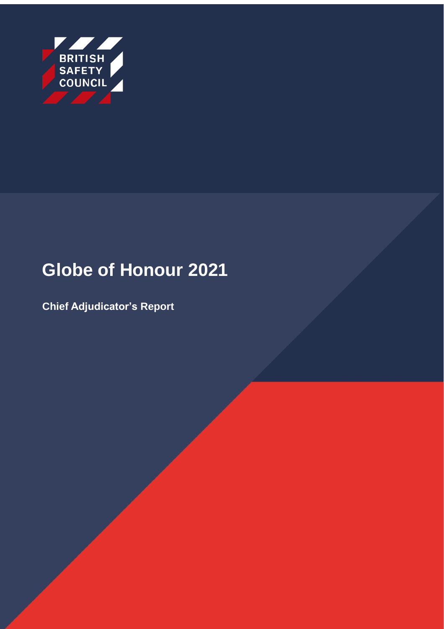

# **Globe of Honour 2021**

**Chief Adjudicator's Report**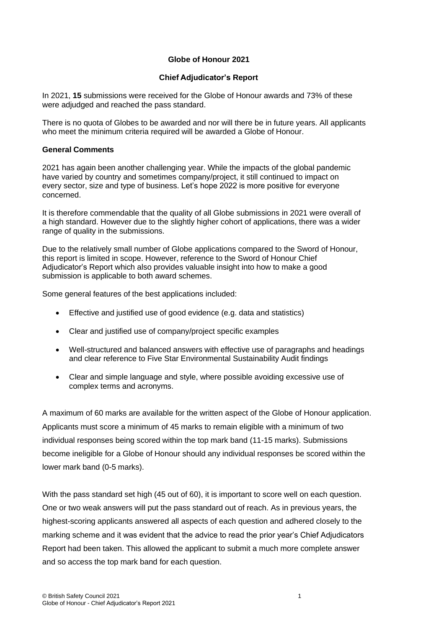## **Globe of Honour 2021**

#### **Chief Adjudicator's Report**

In 2021, **15** submissions were received for the Globe of Honour awards and 73% of these were adjudged and reached the pass standard.

There is no quota of Globes to be awarded and nor will there be in future years. All applicants who meet the minimum criteria required will be awarded a Globe of Honour.

#### **General Comments**

2021 has again been another challenging year. While the impacts of the global pandemic have varied by country and sometimes company/project, it still continued to impact on every sector, size and type of business. Let's hope 2022 is more positive for everyone concerned.

It is therefore commendable that the quality of all Globe submissions in 2021 were overall of a high standard. However due to the slightly higher cohort of applications, there was a wider range of quality in the submissions.

Due to the relatively small number of Globe applications compared to the Sword of Honour, this report is limited in scope. However, reference to the Sword of Honour Chief Adjudicator's Report which also provides valuable insight into how to make a good submission is applicable to both award schemes.

Some general features of the best applications included:

- Effective and justified use of good evidence (e.g. data and statistics)
- Clear and justified use of company/project specific examples
- Well-structured and balanced answers with effective use of paragraphs and headings and clear reference to Five Star Environmental Sustainability Audit findings
- Clear and simple language and style, where possible avoiding excessive use of complex terms and acronyms.

A maximum of 60 marks are available for the written aspect of the Globe of Honour application. Applicants must score a minimum of 45 marks to remain eligible with a minimum of two individual responses being scored within the top mark band (11-15 marks). Submissions become ineligible for a Globe of Honour should any individual responses be scored within the lower mark band (0-5 marks).

With the pass standard set high (45 out of 60), it is important to score well on each question. One or two weak answers will put the pass standard out of reach. As in previous years, the highest-scoring applicants answered all aspects of each question and adhered closely to the marking scheme and it was evident that the advice to read the prior year's Chief Adjudicators Report had been taken. This allowed the applicant to submit a much more complete answer and so access the top mark band for each question.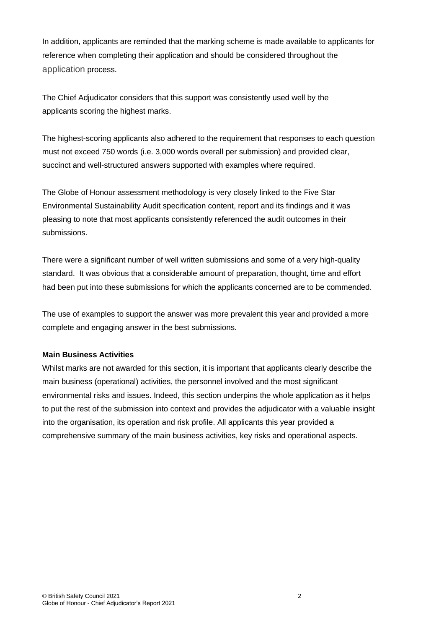In addition, applicants are reminded that the marking scheme is made available to applicants for reference when completing their application and should be considered throughout the application process.

The Chief Adjudicator considers that this support was consistently used well by the applicants scoring the highest marks.

The highest-scoring applicants also adhered to the requirement that responses to each question must not exceed 750 words (i.e. 3,000 words overall per submission) and provided clear, succinct and well-structured answers supported with examples where required.

The Globe of Honour assessment methodology is very closely linked to the Five Star Environmental Sustainability Audit specification content, report and its findings and it was pleasing to note that most applicants consistently referenced the audit outcomes in their submissions.

There were a significant number of well written submissions and some of a very high-quality standard. It was obvious that a considerable amount of preparation, thought, time and effort had been put into these submissions for which the applicants concerned are to be commended.

The use of examples to support the answer was more prevalent this year and provided a more complete and engaging answer in the best submissions.

#### **Main Business Activities**

Whilst marks are not awarded for this section, it is important that applicants clearly describe the main business (operational) activities, the personnel involved and the most significant environmental risks and issues. Indeed, this section underpins the whole application as it helps to put the rest of the submission into context and provides the adjudicator with a valuable insight into the organisation, its operation and risk profile. All applicants this year provided a comprehensive summary of the main business activities, key risks and operational aspects.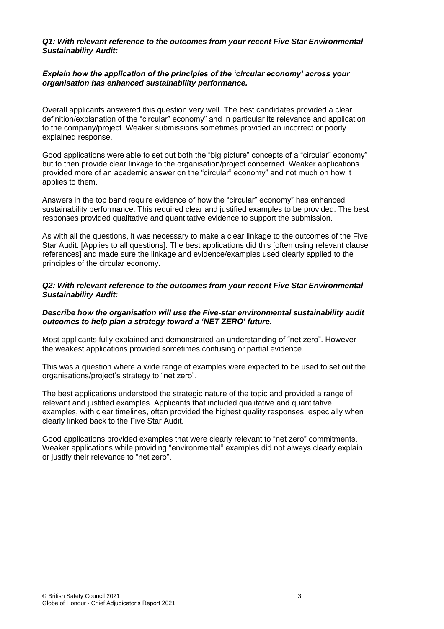#### *Q1: With relevant reference to the outcomes from your recent Five Star Environmental Sustainability Audit:*

### *Explain how the application of the principles of the 'circular economy' across your organisation has enhanced sustainability performance.*

Overall applicants answered this question very well. The best candidates provided a clear definition/explanation of the "circular" economy" and in particular its relevance and application to the company/project. Weaker submissions sometimes provided an incorrect or poorly explained response.

Good applications were able to set out both the "big picture" concepts of a "circular" economy" but to then provide clear linkage to the organisation/project concerned. Weaker applications provided more of an academic answer on the "circular" economy" and not much on how it applies to them.

Answers in the top band require evidence of how the "circular" economy" has enhanced sustainability performance. This required clear and justified examples to be provided. The best responses provided qualitative and quantitative evidence to support the submission.

As with all the questions, it was necessary to make a clear linkage to the outcomes of the Five Star Audit. [Applies to all questions]. The best applications did this [often using relevant clause references] and made sure the linkage and evidence/examples used clearly applied to the principles of the circular economy.

#### *Q2: With relevant reference to the outcomes from your recent Five Star Environmental Sustainability Audit:*

#### *Describe how the organisation will use the Five-star environmental sustainability audit outcomes to help plan a strategy toward a 'NET ZERO' future.*

Most applicants fully explained and demonstrated an understanding of "net zero". However the weakest applications provided sometimes confusing or partial evidence.

This was a question where a wide range of examples were expected to be used to set out the organisations/project's strategy to "net zero".

The best applications understood the strategic nature of the topic and provided a range of relevant and justified examples. Applicants that included qualitative and quantitative examples, with clear timelines, often provided the highest quality responses, especially when clearly linked back to the Five Star Audit.

Good applications provided examples that were clearly relevant to "net zero" commitments. Weaker applications while providing "environmental" examples did not always clearly explain or justify their relevance to "net zero".